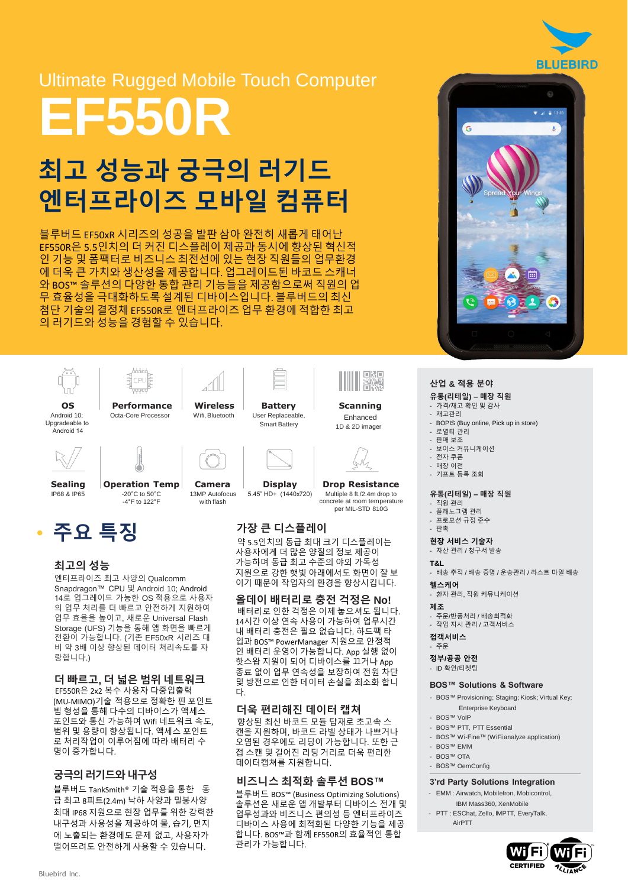# Ultimate Rugged Mobile Touch Computer **EF550R**

# 최고 성능과 궁극의 러기드 엔터프라이즈 모바일 컴퓨터

블루버드 EF50xR 시리즈의 성공을 발판 삼아 완전히 새롭게 태어난 EF550R은 5.5인치의 더 커진 디스플레이 제공과 동시에 향상된 혁신적 인 기능 및 폼팩터로 비즈니스 최전선에 있는 현장 직원들의 업무환경 에 더욱 큰 가치와 생산성을 제공합니다. 업그레이드된 바코드 스캐너 와 BOS™ 솔루션의 다양한 통합 관리 기능들을 제공함으로써 직원의 업 무 효율성을 극대화하도록 설계된 디바이스입니다. 블루버드의 최신 첨단 기술의 결정체 EF550R로 엔터프라이즈 업무 환경에 적합한 최고 의 러기드와 성능을 경험할 수 있습니다.



### 최고의 성능

엔터프라이즈 최고 사양의 Qualcomm Snapdragon™ CPU 및 Android 10; Android 14로 업그레이드 가능한 OS 적용으로 사용자 의 업무 처리를 더 빠르고 안전하게 지원하여 업무 효율을 높이고, 새로운 Universal Flash Storage (UFS) 기능을 통해 앱 화면을 빠르게 전환이 가능합니다. (기존 EF50xR 시리즈 대 비 약 3배 이상 향상된 데이터 처리속도를 자 랑합니다.)

### 더 빠르고**,** 더 넓은 범위 네트워크

EF550R은 2x2 복수 사용자 다중입출력 (MU-MIMO)기술 적용으로 정확한 핀 포인트 빔 형성을 통해 다수의 디바이스가 액세스 포인트와 통신 가능하여 Wifi 네트워크 속도, 범위 및 용량이 향상됩니다. 액세스 포인트 로 처리작업이 이루어짐에 따라 배터리 수 명이증가합니다.

#### 궁극의러기드와 내구성

블루버드 TankSmith® 기술 적용을 통한 동 급 최고 8피트(2.4m) 낙하 사양과 밀봉사양 최대 IP68 지원으로 현장 업무를 위한 강력한 내구성과 사용성을 제공하여 물, 습기, 먼지 에 노출되는 환경에도 문제 없고, 사용자가 떨어뜨려도 안전하게 사용할 수 있습니다.

가능하며 동급 최고 수준의 야외 가독성 지원으로 강한 햇빛 아래에서도 화면이 잘 보 이기 때문에 작업자의 환경을 향상시킵니다.

올데이 배터리로 충전 걱정은 **No!**  배터리로 인한 걱정은 이제 놓으셔도 됩니다. 14시간 이상 연속 사용이 가능하여 업무시간 내 배터리 충전은 필요 없습니다. 하드팩 타 입과 BOS™ PowerManager 지원으로 안정적 인 배터리 운영이 가능합니다. App 실행 없이 핫스왑 지원이 되어 디바이스를 끄거나 App 종료 없이 업무 연속성을 보장하여 전원 차단 및 방전으로 인한 데이터 손실을 최소화 합니 다.

#### 더욱 편리해진 데이터 캡쳐

향상된 최신 바코드 모듈 탑재로 초고속 스 캔을 지원하며, 바코드 라벨 상태가 나쁘거나 오염된 경우에도 리딩이 가능합니다. 또한 근 접 스캔 및 길어진 리딩 거리로 더욱 편리한 데이터캡쳐를 지원합니다.

#### 비즈니스 최적화 솔루션 **BOS™**

블루버드 BOS™ (Business Optimizing Solutions) 솔루션은 새로운 앱 개발부터 디바이스 전개 및 업무성과와 비즈니스 편의성 등 엔터프라이즈 디바이스 사용에 최적화된 다양한 기능을 제공 합니다. BOS™과 함께 EF550R의 효율적인 통합 관리가 가능합니다.



#### 산업 **&** 적용 분야

#### 유통**(**리테일**) –** 매장 직원

- 가격/재고 확인 및 감사 - 재고관리
	-
- BOPIS (Buy online, Pick up in store) - 로열티 관리
- 판매 보조
- 보이스 커뮤니케이션
- 전자 쿠폰
- 매장 이전 - 기프트 등록 조회

#### 유통**(**리테일**) –** 매장 직원

- 직원 관리
- 플래노그램 관리
- 프로모션 규정 준수 - 판촉
- 현장 서비스 기술자
- 자산 관리 / 청구서 발송
- **T&L**
- 배송 추적 / 배송 증명 / 운송관리 / 라스트 마일 배송
- 헬스케어

- 환자 관리, 직원 커뮤니케이션

#### 제조

- 주문/반품처리 / 배송최적화
- 작업 지시 관리 / 고객서비스

접객서비스 - 주문

정부**/**공공 안전 - ID 확인/티켓팅

#### **BOS™ Solutions & Software**

- BOS™ Provisioning; Staging; Kiosk; Virtual Key; Enterprise Keyboard
- BOS™ VoIP
- BOS™ PTT, PTT Essential
- BOS™ Wi-Fine™ (WiFi analyze application)
- BOS™ EMM
- BOS™ OTA
- BOS™ OemConfig

#### **3'rd Party Solutions Integration**

- EMM : Airwatch, MobileIron, Mobicontrol, IBM Mass360, XenMobile
	- PTT : ESChat, Zello, IMPTT, EveryTalk, AirPTT

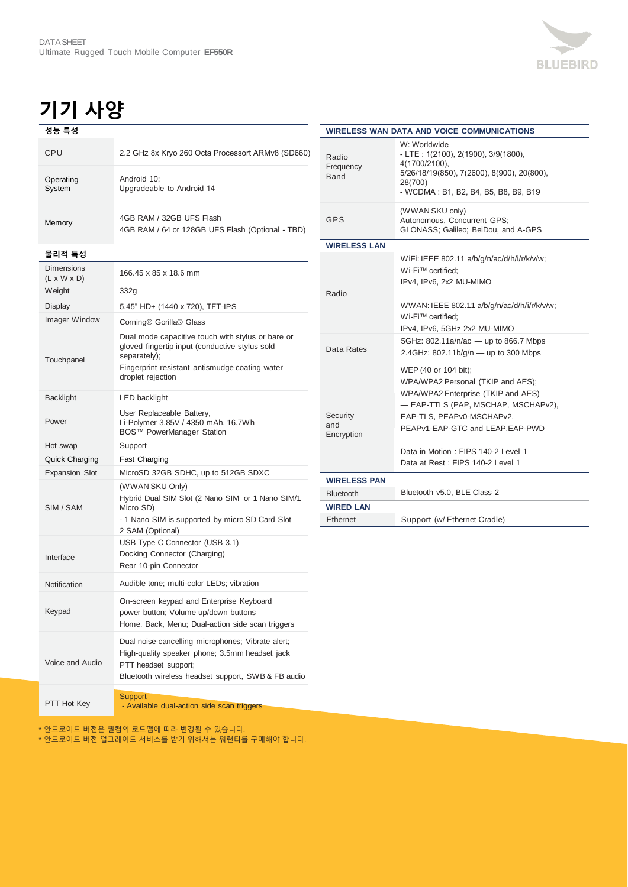## 기기 사양

| 성능 특성               |                                                                              |
|---------------------|------------------------------------------------------------------------------|
| CPU                 | 2.2 GHz 8x Kryo 260 Octa Processort ARMv8 (SD660)                            |
| Operating<br>System | Android 10;<br>Upgradeable to Android 14                                     |
| Memory              | 4GB RAM / 32GB UFS Flash<br>4GB RAM / 64 or 128GB UFS Flash (Optional - TBD) |

물리적 특성

| 물리식 특싱                                       |                                                                                                                                                                                            |
|----------------------------------------------|--------------------------------------------------------------------------------------------------------------------------------------------------------------------------------------------|
| <b>Dimensions</b><br>$(L \times W \times D)$ | 166.45 x 85 x 18.6 mm                                                                                                                                                                      |
| Weight                                       | 332g                                                                                                                                                                                       |
| Display                                      | 5.45" HD+ (1440 x 720), TFT-IPS                                                                                                                                                            |
| Imager Window                                | Corning® Gorilla® Glass                                                                                                                                                                    |
| Touchpanel                                   | Dual mode capacitive touch with stylus or bare or<br>gloved fingertip input (conductive stylus sold<br>separately);<br>Fingerprint resistant antismudge coating water<br>droplet rejection |
| <b>Backlight</b>                             | LED backlight                                                                                                                                                                              |
| Power                                        | User Replaceable Battery,<br>Li-Polymer 3.85V / 4350 mAh, 16.7Wh<br>BOS™ PowerManager Station                                                                                              |
| Hot swap                                     | Support                                                                                                                                                                                    |
| Quick Charging                               | Fast Charging                                                                                                                                                                              |
| <b>Expansion Slot</b>                        | MicroSD 32GB SDHC, up to 512GB SDXC                                                                                                                                                        |
| SIM / SAM                                    | (WWAN SKU Only)<br>Hybrid Dual SIM Slot (2 Nano SIM or 1 Nano SIM/1<br>Micro SD)<br>- 1 Nano SIM is supported by micro SD Card Slot<br>2 SAM (Optional)                                    |
| Interface                                    | USB Type C Connector (USB 3.1)<br>Docking Connector (Charging)<br>Rear 10-pin Connector                                                                                                    |
| Notification                                 | Audible tone; multi-color LEDs; vibration                                                                                                                                                  |
| Keypad                                       | On-screen keypad and Enterprise Keyboard<br>power button; Volume up/down buttons<br>Home, Back, Menu; Dual-action side scan triggers                                                       |
| Voice and Audio                              | Dual noise-cancelling microphones; Vibrate alert;<br>High-quality speaker phone; 3.5mm headset jack<br>PTT headset support:<br>Bluetooth wireless headset support, SWB & FB audio          |
|                                              | <b>Support</b>                                                                                                                                                                             |

**PTT Hot Key**<br>Availa - Available dual-action side scan triggers

\* 안드로이드 버전은 퀄컴의 로드맵에 따라 변경될 수 있습니다.

\* 안드로이드 버전 업그레이드 서비스를 받기 위해서는 워런티를 구매해야 합니다.

|                               | <b>WIRELESS WAN DATA AND VOICE COMMUNICATIONS</b>                                                                                                                                                                                                                                |
|-------------------------------|----------------------------------------------------------------------------------------------------------------------------------------------------------------------------------------------------------------------------------------------------------------------------------|
| Radio<br>Frequency<br>Band    | W: Worldwide<br>- LTE: 1(2100), 2(1900), 3/9(1800),<br>4(1700/2100),<br>5/26/18/19(850), 7(2600), 8(900), 20(800),<br>28(700)<br>- WCDMA: B1, B2, B4, B5, B8, B9, B19                                                                                                            |
| <b>GPS</b>                    | (WWAN SKU only)<br>Autonomous, Concurrent GPS;<br>GLONASS; Galileo; BeiDou, and A-GPS                                                                                                                                                                                            |
| <b>WIRELESS LAN</b>           |                                                                                                                                                                                                                                                                                  |
| Radio                         | WiFi: IEEE 802.11 a/b/g/n/ac/d/h/i/r/k/v/w;<br>Wi-Fi™ certified;<br>IPv4, IPv6, 2x2 MU-MIMO<br>WWAN: IEEE 802.11 a/b/g/n/ac/d/h/i/r/k/v/w;<br>Wi-Fi™ certified:<br>IPv4, IPv6, 5GHz 2x2 MU-MIMO                                                                                  |
| Data Rates                    | 5GHz: 802.11a/n/ac - up to 866.7 Mbps<br>2.4GHz: 802.11b/g/n - up to 300 Mbps                                                                                                                                                                                                    |
| Security<br>and<br>Encryption | WEP (40 or 104 bit);<br>WPA/WPA2 Personal (TKIP and AES);<br>WPA/WPA2 Enterprise (TKIP and AES)<br>- EAP-TTLS (PAP, MSCHAP, MSCHAPv2),<br>EAP-TLS, PEAPv0-MSCHAPv2,<br>PEAPv1-EAP-GTC and LEAP.EAP-PWD<br>Data in Motion: FIPS 140-2 Level 1<br>Data at Rest: FIPS 140-2 Level 1 |
| <b>WIRELESS PAN</b>           |                                                                                                                                                                                                                                                                                  |
| <b>Bluetooth</b>              | Bluetooth v5.0, BLE Class 2                                                                                                                                                                                                                                                      |
| <b>WIRED LAN</b>              |                                                                                                                                                                                                                                                                                  |
| <b>Fthernet</b>               | Support (w/ Ethernet Cradle)                                                                                                                                                                                                                                                     |